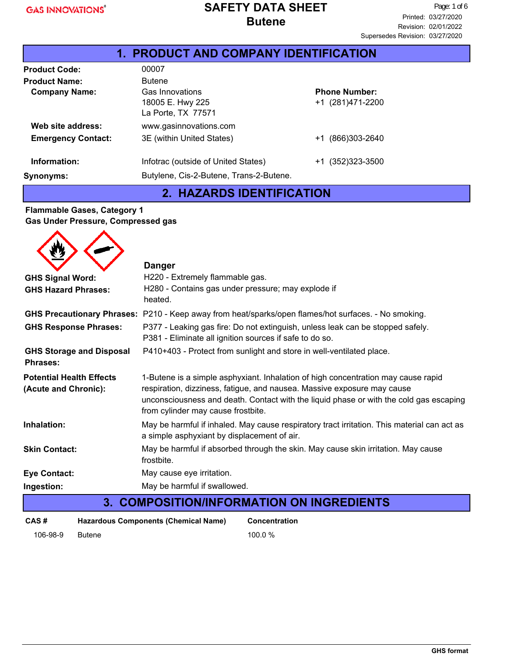### Product Code: 00007 **Product Name:** Butene **Company Name:** Gas Innovations 18005 E. Hwy 225 La Porte, TX 77571 **Emergency Contact:** 3E (within United States)  $+1$  (866)303-2640 **Information:** Infotrac (outside of United States) +1 (352)323-3500 +1 (281)471-2200 **Phone Number: Web site address:** www.gasinnovations.com **Synonyms:** Butylene, Cis-2-Butene, Trans-2-Butene. **1. PRODUCT AND COMPANY IDENTIFICATION**

# **2. HAZARDS IDENTIFICATION**

#### **Flammable Gases, Category 1 Gas Under Pressure, Compressed gas**

|                                                         | <b>Danger</b>                                                                                                                                                                                                                                                                                |  |  |  |  |
|---------------------------------------------------------|----------------------------------------------------------------------------------------------------------------------------------------------------------------------------------------------------------------------------------------------------------------------------------------------|--|--|--|--|
| <b>GHS Signal Word:</b>                                 | H220 - Extremely flammable gas.                                                                                                                                                                                                                                                              |  |  |  |  |
| <b>GHS Hazard Phrases:</b>                              | H280 - Contains gas under pressure; may explode if<br>heated.                                                                                                                                                                                                                                |  |  |  |  |
|                                                         | GHS Precautionary Phrases: P210 - Keep away from heat/sparks/open flames/hot surfaces. - No smoking.                                                                                                                                                                                         |  |  |  |  |
| <b>GHS Response Phrases:</b>                            | P377 - Leaking gas fire: Do not extinguish, unless leak can be stopped safely.<br>P381 - Eliminate all ignition sources if safe to do so.                                                                                                                                                    |  |  |  |  |
| <b>GHS Storage and Disposal</b><br><b>Phrases:</b>      | P410+403 - Protect from sunlight and store in well-ventilated place.                                                                                                                                                                                                                         |  |  |  |  |
| <b>Potential Health Effects</b><br>(Acute and Chronic): | 1-Butene is a simple asphyxiant. Inhalation of high concentration may cause rapid<br>respiration, dizziness, fatigue, and nausea. Massive exposure may cause<br>unconsciousness and death. Contact with the liquid phase or with the cold gas escaping<br>from cylinder may cause frostbite. |  |  |  |  |
| Inhalation:                                             | May be harmful if inhaled. May cause respiratory tract irritation. This material can act as<br>a simple asphyxiant by displacement of air.                                                                                                                                                   |  |  |  |  |
| <b>Skin Contact:</b>                                    | May be harmful if absorbed through the skin. May cause skin irritation. May cause<br>frostbite.                                                                                                                                                                                              |  |  |  |  |
| <b>Eye Contact:</b>                                     | May cause eye irritation.                                                                                                                                                                                                                                                                    |  |  |  |  |
| Ingestion:                                              | May be harmful if swallowed.                                                                                                                                                                                                                                                                 |  |  |  |  |
|                                                         | <b>3. COMPOSITION/INFORMATION ON INGREDIENTS</b>                                                                                                                                                                                                                                             |  |  |  |  |

| CAS #    | Hazardous Components (Chemical Name) | <b>Concentration</b> |
|----------|--------------------------------------|----------------------|
| 106-98-9 | <b>Butene</b>                        | 100.0 %              |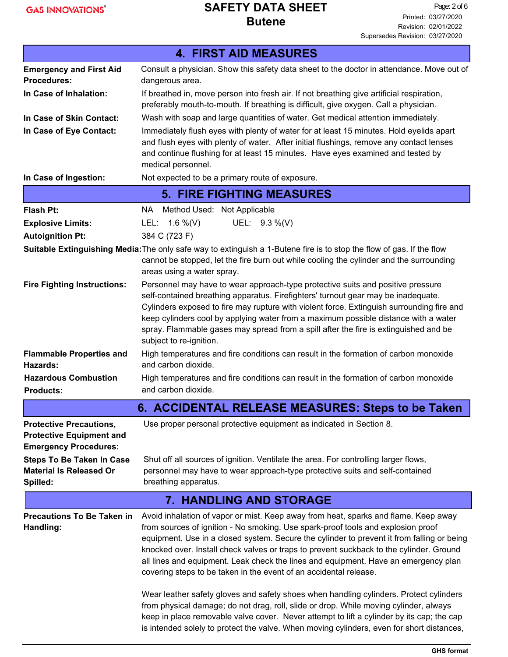|                                                                                                   | <b>4. FIRST AID MEASURES</b>                                                                                                                                                                                                                                                                                                                                                                                                                                                                                                                                                                                                                                                                                                                                                                                                                                                                              |  |  |  |  |  |
|---------------------------------------------------------------------------------------------------|-----------------------------------------------------------------------------------------------------------------------------------------------------------------------------------------------------------------------------------------------------------------------------------------------------------------------------------------------------------------------------------------------------------------------------------------------------------------------------------------------------------------------------------------------------------------------------------------------------------------------------------------------------------------------------------------------------------------------------------------------------------------------------------------------------------------------------------------------------------------------------------------------------------|--|--|--|--|--|
| <b>Emergency and First Aid</b>                                                                    | Consult a physician. Show this safety data sheet to the doctor in attendance. Move out of                                                                                                                                                                                                                                                                                                                                                                                                                                                                                                                                                                                                                                                                                                                                                                                                                 |  |  |  |  |  |
| <b>Procedures:</b>                                                                                | dangerous area.                                                                                                                                                                                                                                                                                                                                                                                                                                                                                                                                                                                                                                                                                                                                                                                                                                                                                           |  |  |  |  |  |
| In Case of Inhalation:                                                                            | If breathed in, move person into fresh air. If not breathing give artificial respiration,<br>preferably mouth-to-mouth. If breathing is difficult, give oxygen. Call a physician.                                                                                                                                                                                                                                                                                                                                                                                                                                                                                                                                                                                                                                                                                                                         |  |  |  |  |  |
| In Case of Skin Contact:                                                                          | Wash with soap and large quantities of water. Get medical attention immediately.                                                                                                                                                                                                                                                                                                                                                                                                                                                                                                                                                                                                                                                                                                                                                                                                                          |  |  |  |  |  |
| In Case of Eye Contact:                                                                           | Immediately flush eyes with plenty of water for at least 15 minutes. Hold eyelids apart<br>and flush eyes with plenty of water. After initial flushings, remove any contact lenses<br>and continue flushing for at least 15 minutes. Have eyes examined and tested by<br>medical personnel.                                                                                                                                                                                                                                                                                                                                                                                                                                                                                                                                                                                                               |  |  |  |  |  |
| In Case of Ingestion:                                                                             | Not expected to be a primary route of exposure.                                                                                                                                                                                                                                                                                                                                                                                                                                                                                                                                                                                                                                                                                                                                                                                                                                                           |  |  |  |  |  |
|                                                                                                   | <b>5. FIRE FIGHTING MEASURES</b>                                                                                                                                                                                                                                                                                                                                                                                                                                                                                                                                                                                                                                                                                                                                                                                                                                                                          |  |  |  |  |  |
| <b>Flash Pt:</b>                                                                                  | Method Used: Not Applicable<br>NA .                                                                                                                                                                                                                                                                                                                                                                                                                                                                                                                                                                                                                                                                                                                                                                                                                                                                       |  |  |  |  |  |
| <b>Explosive Limits:</b>                                                                          | UEL: 9.3 %(V)<br>LEL: $1.6\%$ (V)                                                                                                                                                                                                                                                                                                                                                                                                                                                                                                                                                                                                                                                                                                                                                                                                                                                                         |  |  |  |  |  |
| <b>Autoignition Pt:</b>                                                                           | 384 C (723 F)                                                                                                                                                                                                                                                                                                                                                                                                                                                                                                                                                                                                                                                                                                                                                                                                                                                                                             |  |  |  |  |  |
|                                                                                                   | Suitable Extinguishing Media: The only safe way to extinguish a 1-Butene fire is to stop the flow of gas. If the flow<br>cannot be stopped, let the fire burn out while cooling the cylinder and the surrounding<br>areas using a water spray.                                                                                                                                                                                                                                                                                                                                                                                                                                                                                                                                                                                                                                                            |  |  |  |  |  |
| <b>Fire Fighting Instructions:</b>                                                                | Personnel may have to wear approach-type protective suits and positive pressure<br>self-contained breathing apparatus. Firefighters' turnout gear may be inadequate.<br>Cylinders exposed to fire may rupture with violent force. Extinguish surrounding fire and<br>keep cylinders cool by applying water from a maximum possible distance with a water<br>spray. Flammable gases may spread from a spill after the fire is extinguished and be<br>subject to re-ignition.                                                                                                                                                                                                                                                                                                                                                                                                                               |  |  |  |  |  |
| <b>Flammable Properties and</b><br>Hazards:                                                       | High temperatures and fire conditions can result in the formation of carbon monoxide<br>and carbon dioxide.                                                                                                                                                                                                                                                                                                                                                                                                                                                                                                                                                                                                                                                                                                                                                                                               |  |  |  |  |  |
| <b>Hazardous Combustion</b><br><b>Products:</b>                                                   | High temperatures and fire conditions can result in the formation of carbon monoxide<br>and carbon dioxide.                                                                                                                                                                                                                                                                                                                                                                                                                                                                                                                                                                                                                                                                                                                                                                                               |  |  |  |  |  |
|                                                                                                   | 6. ACCIDENTAL RELEASE MEASURES: Steps to be Taken                                                                                                                                                                                                                                                                                                                                                                                                                                                                                                                                                                                                                                                                                                                                                                                                                                                         |  |  |  |  |  |
| <b>Protective Precautions,</b><br><b>Protective Equipment and</b><br><b>Emergency Procedures:</b> | Use proper personal protective equipment as indicated in Section 8.                                                                                                                                                                                                                                                                                                                                                                                                                                                                                                                                                                                                                                                                                                                                                                                                                                       |  |  |  |  |  |
| <b>Steps To Be Taken In Case</b><br><b>Material Is Released Or</b><br>Spilled:                    | Shut off all sources of ignition. Ventilate the area. For controlling larger flows,<br>personnel may have to wear approach-type protective suits and self-contained<br>breathing apparatus.                                                                                                                                                                                                                                                                                                                                                                                                                                                                                                                                                                                                                                                                                                               |  |  |  |  |  |
|                                                                                                   | <b>7. HANDLING AND STORAGE</b>                                                                                                                                                                                                                                                                                                                                                                                                                                                                                                                                                                                                                                                                                                                                                                                                                                                                            |  |  |  |  |  |
| <b>Precautions To Be Taken in</b><br>Handling:                                                    | Avoid inhalation of vapor or mist. Keep away from heat, sparks and flame. Keep away<br>from sources of ignition - No smoking. Use spark-proof tools and explosion proof<br>equipment. Use in a closed system. Secure the cylinder to prevent it from falling or being<br>knocked over. Install check valves or traps to prevent suckback to the cylinder. Ground<br>all lines and equipment. Leak check the lines and equipment. Have an emergency plan<br>covering steps to be taken in the event of an accidental release.<br>Wear leather safety gloves and safety shoes when handling cylinders. Protect cylinders<br>from physical damage; do not drag, roll, slide or drop. While moving cylinder, always<br>keep in place removable valve cover. Never attempt to lift a cylinder by its cap; the cap<br>is intended solely to protect the valve. When moving cylinders, even for short distances, |  |  |  |  |  |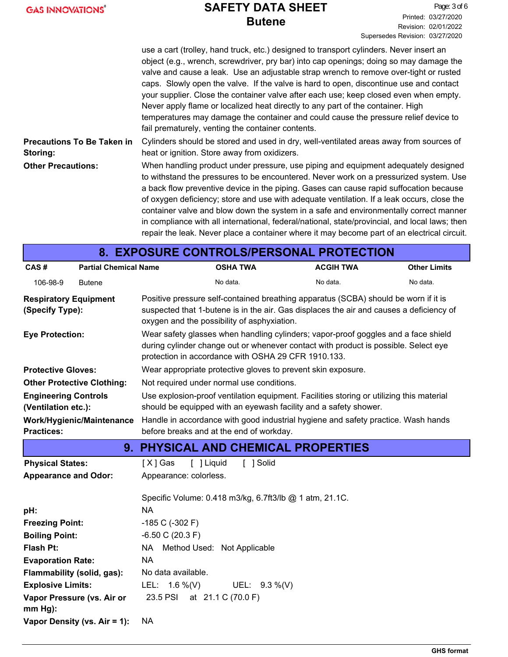|  | <b>GAS INNOVATIONS®</b> |
|--|-------------------------|
|  |                         |

|                                               | use a cart (trolley, hand truck, etc.) designed to transport cylinders. Never insert an<br>object (e.g., wrench, screwdriver, pry bar) into cap openings; doing so may damage the<br>valve and cause a leak. Use an adjustable strap wrench to remove over-tight or rusted<br>caps. Slowly open the valve. If the valve is hard to open, discontinue use and contact<br>your supplier. Close the container valve after each use; keep closed even when empty.<br>Never apply flame or localized heat directly to any part of the container. High<br>temperatures may damage the container and could cause the pressure relief device to<br>fail prematurely, venting the container contents. |
|-----------------------------------------------|----------------------------------------------------------------------------------------------------------------------------------------------------------------------------------------------------------------------------------------------------------------------------------------------------------------------------------------------------------------------------------------------------------------------------------------------------------------------------------------------------------------------------------------------------------------------------------------------------------------------------------------------------------------------------------------------|
| <b>Precautions To Be Taken in</b><br>Storing: | Cylinders should be stored and used in dry, well-ventilated areas away from sources of<br>heat or ignition. Store away from oxidizers.                                                                                                                                                                                                                                                                                                                                                                                                                                                                                                                                                       |
| <b>Other Precautions:</b>                     | When handling product under pressure, use piping and equipment adequately designed<br>to withstand the pressures to be encountered. Never work on a pressurized system. Use<br>a back flow preventive device in the piping. Gases can cause rapid suffocation because<br>of oxygen deficiency; store and use with adequate ventilation. If a leak occurs, close the<br>container valve and blow down the system in a safe and environmentally correct manner<br>in compliance with all international, federal/national, state/provincial, and local laws; then<br>repair the leak. Never place a container where it may become part of an electrical circuit.                                |

| 8. EXPOSURE CONTROLS/PERSONAL PROTECTION           |                                                         |                                                                                                                                                                                                                                  |                  |                                                                                                                                                              |                     |  |  |
|----------------------------------------------------|---------------------------------------------------------|----------------------------------------------------------------------------------------------------------------------------------------------------------------------------------------------------------------------------------|------------------|--------------------------------------------------------------------------------------------------------------------------------------------------------------|---------------------|--|--|
| CAS#                                               | <b>Partial Chemical Name</b>                            |                                                                                                                                                                                                                                  | <b>OSHA TWA</b>  | <b>ACGIH TWA</b>                                                                                                                                             | <b>Other Limits</b> |  |  |
| 106-98-9                                           | <b>Butene</b>                                           |                                                                                                                                                                                                                                  | No data.         | No data.                                                                                                                                                     | No data.            |  |  |
| <b>Respiratory Equipment</b><br>(Specify Type):    |                                                         | Positive pressure self-contained breathing apparatus (SCBA) should be worn if it is<br>suspected that 1-butene is in the air. Gas displaces the air and causes a deficiency of<br>oxygen and the possibility of asphyxiation.    |                  |                                                                                                                                                              |                     |  |  |
| <b>Eye Protection:</b>                             |                                                         | Wear safety glasses when handling cylinders; vapor-proof goggles and a face shield<br>during cylinder change out or whenever contact with product is possible. Select eye<br>protection in accordance with OSHA 29 CFR 1910.133. |                  |                                                                                                                                                              |                     |  |  |
| <b>Protective Gloves:</b>                          |                                                         |                                                                                                                                                                                                                                  |                  | Wear appropriate protective gloves to prevent skin exposure.                                                                                                 |                     |  |  |
|                                                    | <b>Other Protective Clothing:</b>                       | Not required under normal use conditions.                                                                                                                                                                                        |                  |                                                                                                                                                              |                     |  |  |
| <b>Engineering Controls</b><br>(Ventilation etc.): |                                                         |                                                                                                                                                                                                                                  |                  | Use explosion-proof ventilation equipment. Facilities storing or utilizing this material<br>should be equipped with an eyewash facility and a safety shower. |                     |  |  |
|                                                    | Work/Hygienic/Maintenance                               |                                                                                                                                                                                                                                  |                  | Handle in accordance with good industrial hygiene and safety practice. Wash hands                                                                            |                     |  |  |
| <b>Practices:</b>                                  |                                                         | before breaks and at the end of workday.                                                                                                                                                                                         |                  |                                                                                                                                                              |                     |  |  |
|                                                    |                                                         |                                                                                                                                                                                                                                  |                  | <b>9. PHYSICAL AND CHEMICAL PROPERTIES</b>                                                                                                                   |                     |  |  |
| <b>Physical States:</b>                            |                                                         | [ ] Liquid<br>$[X]$ Gas                                                                                                                                                                                                          | [ ] Solid        |                                                                                                                                                              |                     |  |  |
| <b>Appearance and Odor:</b>                        |                                                         | Appearance: colorless.                                                                                                                                                                                                           |                  |                                                                                                                                                              |                     |  |  |
|                                                    | Specific Volume: 0.418 m3/kg, 6.7ft3/lb @ 1 atm, 21.1C. |                                                                                                                                                                                                                                  |                  |                                                                                                                                                              |                     |  |  |
| pH:                                                |                                                         | <b>NA</b>                                                                                                                                                                                                                        |                  |                                                                                                                                                              |                     |  |  |
| <b>Freezing Point:</b>                             |                                                         | $-185$ C ( $-302$ F)                                                                                                                                                                                                             |                  |                                                                                                                                                              |                     |  |  |
|                                                    | $-6.50$ C (20.3 F)<br><b>Boiling Point:</b>             |                                                                                                                                                                                                                                  |                  |                                                                                                                                                              |                     |  |  |
| <b>Flash Pt:</b>                                   | NA .<br>Method Used: Not Applicable                     |                                                                                                                                                                                                                                  |                  |                                                                                                                                                              |                     |  |  |
|                                                    | <b>NA</b><br><b>Evaporation Rate:</b>                   |                                                                                                                                                                                                                                  |                  |                                                                                                                                                              |                     |  |  |
| Flammability (solid, gas):                         |                                                         | No data available.                                                                                                                                                                                                               |                  |                                                                                                                                                              |                     |  |  |
| <b>Explosive Limits:</b>                           |                                                         | LEL: $1.6\%$ (V)                                                                                                                                                                                                                 | UEL: $9.3\%$ (V) |                                                                                                                                                              |                     |  |  |
| $mm Hg$ :                                          | Vapor Pressure (vs. Air or                              | 23.5 PSI at 21.1 C (70.0 F)                                                                                                                                                                                                      |                  |                                                                                                                                                              |                     |  |  |
|                                                    | Vapor Density (vs. Air = 1):                            | <b>NA</b>                                                                                                                                                                                                                        |                  |                                                                                                                                                              |                     |  |  |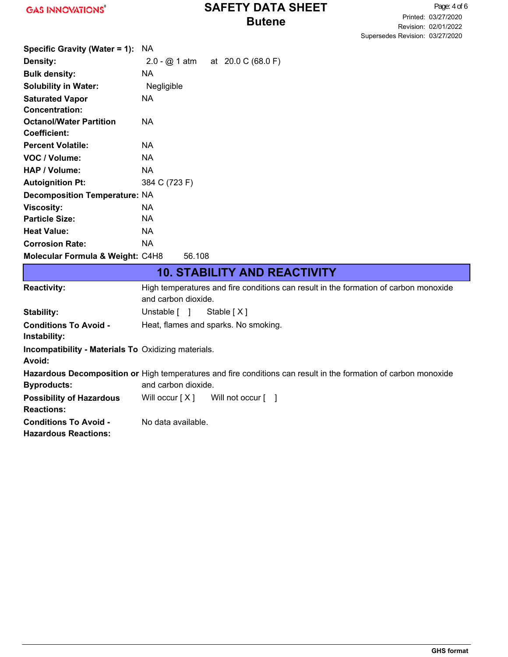Page: 4 of 6 Printed: 03/27/2020 Revision: 02/01/2022 Supersedes Revision: 03/27/2020

| Specific Gravity (Water = 1):               | NA.           |        |                                    |
|---------------------------------------------|---------------|--------|------------------------------------|
| Density:                                    |               |        | 2.0 - $@$ 1 atm at 20.0 C (68.0 F) |
| <b>Bulk density:</b>                        | NA.           |        |                                    |
| <b>Solubility in Water:</b>                 | Negligible    |        |                                    |
| <b>Saturated Vapor</b>                      | NA.           |        |                                    |
| <b>Concentration:</b>                       |               |        |                                    |
| <b>Octanol/Water Partition</b>              | NA.           |        |                                    |
| Coefficient:                                |               |        |                                    |
| <b>Percent Volatile:</b>                    | NA.           |        |                                    |
| VOC / Volume:                               | NA.           |        |                                    |
| HAP / Volume:                               | NA            |        |                                    |
| <b>Autoignition Pt:</b>                     | 384 C (723 F) |        |                                    |
| <b>Decomposition Temperature: NA</b>        |               |        |                                    |
| <b>Viscosity:</b>                           | NA.           |        |                                    |
| <b>Particle Size:</b>                       | NA            |        |                                    |
| <b>Heat Value:</b>                          | NA            |        |                                    |
| <b>Corrosion Rate:</b>                      | NA            |        |                                    |
| <b>Molecular Formula &amp; Weight: C4H8</b> |               | 56.108 |                                    |

|                                                                      | <b>10. STABILITY AND REACTIVITY</b>                                                                                                    |  |  |  |  |
|----------------------------------------------------------------------|----------------------------------------------------------------------------------------------------------------------------------------|--|--|--|--|
| <b>Reactivity:</b>                                                   | High temperatures and fire conditions can result in the formation of carbon monoxide<br>and carbon dioxide.                            |  |  |  |  |
| Stability:                                                           | Unstable [ ] Stable [X]                                                                                                                |  |  |  |  |
| <b>Conditions To Avoid -</b><br>Instability:                         | Heat, flames and sparks. No smoking.                                                                                                   |  |  |  |  |
| <b>Incompatibility - Materials To Oxidizing materials.</b><br>Avoid: |                                                                                                                                        |  |  |  |  |
| <b>Byproducts:</b>                                                   | Hazardous Decomposition or High temperatures and fire conditions can result in the formation of carbon monoxide<br>and carbon dioxide. |  |  |  |  |
| <b>Possibility of Hazardous</b><br><b>Reactions:</b>                 | Will not occur $\lceil \quad \rceil$<br>Will occur [ $X$ ]                                                                             |  |  |  |  |
| <b>Conditions To Avoid -</b><br><b>Hazardous Reactions:</b>          | No data available.                                                                                                                     |  |  |  |  |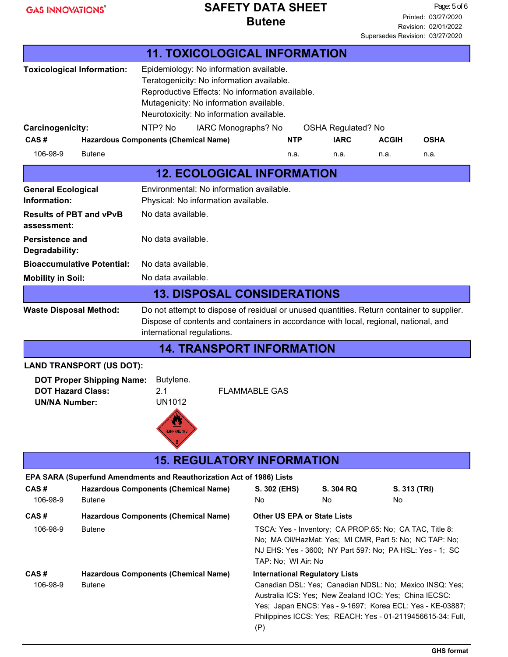|                                                                                                                                                                         |                                                                                                                                                                                                                                                  | <b>11. TOXICOLOGICAL INFORMATION</b>                                                                                                                                                                                           |                     |                                                                                                                                                                                                                                                                                                               |                           |                    |             |
|-------------------------------------------------------------------------------------------------------------------------------------------------------------------------|--------------------------------------------------------------------------------------------------------------------------------------------------------------------------------------------------------------------------------------------------|--------------------------------------------------------------------------------------------------------------------------------------------------------------------------------------------------------------------------------|---------------------|---------------------------------------------------------------------------------------------------------------------------------------------------------------------------------------------------------------------------------------------------------------------------------------------------------------|---------------------------|--------------------|-------------|
| <b>Toxicological Information:</b>                                                                                                                                       |                                                                                                                                                                                                                                                  | Epidemiology: No information available.<br>Teratogenicity: No information available.<br>Reproductive Effects: No information available.<br>Mutagenicity: No information available.<br>Neurotoxicity: No information available. |                     |                                                                                                                                                                                                                                                                                                               |                           |                    |             |
| Carcinogenicity:                                                                                                                                                        |                                                                                                                                                                                                                                                  | NTP? No                                                                                                                                                                                                                        | IARC Monographs? No |                                                                                                                                                                                                                                                                                                               | <b>OSHA Regulated? No</b> |                    |             |
| CAS#                                                                                                                                                                    |                                                                                                                                                                                                                                                  | <b>Hazardous Components (Chemical Name)</b>                                                                                                                                                                                    |                     | <b>NTP</b>                                                                                                                                                                                                                                                                                                    | <b>IARC</b>               | <b>ACGIH</b>       | <b>OSHA</b> |
| 106-98-9                                                                                                                                                                | <b>Butene</b>                                                                                                                                                                                                                                    |                                                                                                                                                                                                                                |                     | n.a.                                                                                                                                                                                                                                                                                                          | n.a.                      | n.a.               | n.a.        |
|                                                                                                                                                                         |                                                                                                                                                                                                                                                  | <b>12. ECOLOGICAL INFORMATION</b>                                                                                                                                                                                              |                     |                                                                                                                                                                                                                                                                                                               |                           |                    |             |
| <b>General Ecological</b><br>Information:                                                                                                                               |                                                                                                                                                                                                                                                  | Environmental: No information available.<br>Physical: No information available.                                                                                                                                                |                     |                                                                                                                                                                                                                                                                                                               |                           |                    |             |
| <b>Results of PBT and vPvB</b><br>assessment:                                                                                                                           |                                                                                                                                                                                                                                                  | No data available.                                                                                                                                                                                                             |                     |                                                                                                                                                                                                                                                                                                               |                           |                    |             |
| <b>Persistence and</b><br>Degradability:                                                                                                                                |                                                                                                                                                                                                                                                  | No data available.                                                                                                                                                                                                             |                     |                                                                                                                                                                                                                                                                                                               |                           |                    |             |
| <b>Bioaccumulative Potential:</b>                                                                                                                                       |                                                                                                                                                                                                                                                  | No data available.                                                                                                                                                                                                             |                     |                                                                                                                                                                                                                                                                                                               |                           |                    |             |
| <b>Mobility in Soil:</b>                                                                                                                                                |                                                                                                                                                                                                                                                  | No data available.                                                                                                                                                                                                             |                     |                                                                                                                                                                                                                                                                                                               |                           |                    |             |
|                                                                                                                                                                         |                                                                                                                                                                                                                                                  | <b>13. DISPOSAL CONSIDERATIONS</b>                                                                                                                                                                                             |                     |                                                                                                                                                                                                                                                                                                               |                           |                    |             |
|                                                                                                                                                                         | Do not attempt to dispose of residual or unused quantities. Return container to supplier.<br><b>Waste Disposal Method:</b><br>Dispose of contents and containers in accordance with local, regional, national, and<br>international regulations. |                                                                                                                                                                                                                                |                     |                                                                                                                                                                                                                                                                                                               |                           |                    |             |
|                                                                                                                                                                         |                                                                                                                                                                                                                                                  | <b>14. TRANSPORT INFORMATION</b>                                                                                                                                                                                               |                     |                                                                                                                                                                                                                                                                                                               |                           |                    |             |
|                                                                                                                                                                         | <b>LAND TRANSPORT (US DOT):</b>                                                                                                                                                                                                                  |                                                                                                                                                                                                                                |                     |                                                                                                                                                                                                                                                                                                               |                           |                    |             |
| <b>DOT Proper Shipping Name:</b><br>Butylene.<br><b>DOT Hazard Class:</b><br>2.1<br><b>FLAMMABLE GAS</b><br><b>UN1012</b><br><b>UN/NA Number:</b><br><b>LAMMABLE GA</b> |                                                                                                                                                                                                                                                  |                                                                                                                                                                                                                                |                     |                                                                                                                                                                                                                                                                                                               |                           |                    |             |
|                                                                                                                                                                         |                                                                                                                                                                                                                                                  | <b>15. REGULATORY INFORMATION</b>                                                                                                                                                                                              |                     |                                                                                                                                                                                                                                                                                                               |                           |                    |             |
| CAS#<br>106-98-9                                                                                                                                                        | <b>Butene</b>                                                                                                                                                                                                                                    | EPA SARA (Superfund Amendments and Reauthorization Act of 1986) Lists<br><b>Hazardous Components (Chemical Name)</b>                                                                                                           | S. 302 (EHS)<br>No  |                                                                                                                                                                                                                                                                                                               | S. 304 RQ<br>No.          | S. 313 (TRI)<br>No |             |
| CAS#<br>106-98-9                                                                                                                                                        | <b>Butene</b>                                                                                                                                                                                                                                    | <b>Hazardous Components (Chemical Name)</b>                                                                                                                                                                                    |                     | <b>Other US EPA or State Lists</b><br>TSCA: Yes - Inventory; CA PROP.65: No; CA TAC, Title 8:<br>No; MA Oil/HazMat: Yes; MI CMR, Part 5: No; NC TAP: No;<br>NJ EHS: Yes - 3600; NY Part 597: No; PA HSL: Yes - 1; SC                                                                                          |                           |                    |             |
| CAS#<br>106-98-9                                                                                                                                                        | <b>Butene</b>                                                                                                                                                                                                                                    | <b>Hazardous Components (Chemical Name)</b>                                                                                                                                                                                    | (P)                 | TAP: No; WI Air: No<br><b>International Regulatory Lists</b><br>Canadian DSL: Yes; Canadian NDSL: No; Mexico INSQ: Yes;<br>Australia ICS: Yes; New Zealand IOC: Yes; China IECSC:<br>Yes; Japan ENCS: Yes - 9-1697; Korea ECL: Yes - KE-03887;<br>Philippines ICCS: Yes; REACH: Yes - 01-2119456615-34: Full, |                           |                    |             |